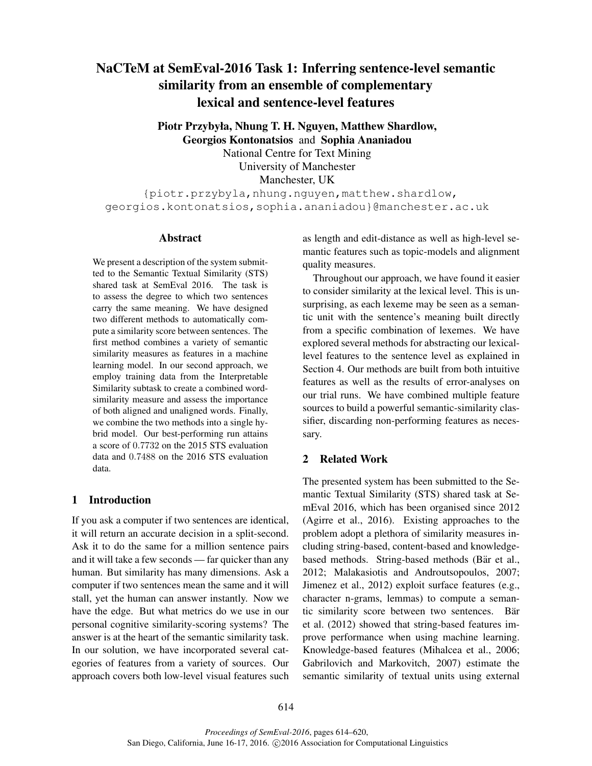# NaCTeM at SemEval-2016 Task 1: Inferring sentence-level semantic similarity from an ensemble of complementary lexical and sentence-level features

Piotr Przybyła, Nhung T. H. Nguyen, Matthew Shardlow, Georgios Kontonatsios and Sophia Ananiadou National Centre for Text Mining University of Manchester Manchester, UK

{piotr.przybyla,nhung.nguyen,matthew.shardlow, georgios.kontonatsios,sophia.ananiadou}@manchester.ac.uk

#### **Abstract**

We present a description of the system submitted to the Semantic Textual Similarity (STS) shared task at SemEval 2016. The task is to assess the degree to which two sentences carry the same meaning. We have designed two different methods to automatically compute a similarity score between sentences. The first method combines a variety of semantic similarity measures as features in a machine learning model. In our second approach, we employ training data from the Interpretable Similarity subtask to create a combined wordsimilarity measure and assess the importance of both aligned and unaligned words. Finally, we combine the two methods into a single hybrid model. Our best-performing run attains a score of 0.7732 on the 2015 STS evaluation data and 0.7488 on the 2016 STS evaluation data.

# 1 Introduction

If you ask a computer if two sentences are identical, it will return an accurate decision in a split-second. Ask it to do the same for a million sentence pairs and it will take a few seconds — far quicker than any human. But similarity has many dimensions. Ask a computer if two sentences mean the same and it will stall, yet the human can answer instantly. Now we have the edge. But what metrics do we use in our personal cognitive similarity-scoring systems? The answer is at the heart of the semantic similarity task. In our solution, we have incorporated several categories of features from a variety of sources. Our approach covers both low-level visual features such as length and edit-distance as well as high-level semantic features such as topic-models and alignment quality measures.

Throughout our approach, we have found it easier to consider similarity at the lexical level. This is unsurprising, as each lexeme may be seen as a semantic unit with the sentence's meaning built directly from a specific combination of lexemes. We have explored several methods for abstracting our lexicallevel features to the sentence level as explained in Section 4. Our methods are built from both intuitive features as well as the results of error-analyses on our trial runs. We have combined multiple feature sources to build a powerful semantic-similarity classifier, discarding non-performing features as necessary.

# 2 Related Work

The presented system has been submitted to the Semantic Textual Similarity (STS) shared task at SemEval 2016, which has been organised since 2012 (Agirre et al., 2016). Existing approaches to the problem adopt a plethora of similarity measures including string-based, content-based and knowledgebased methods. String-based methods (Bär et al., 2012; Malakasiotis and Androutsopoulos, 2007; Jimenez et al., 2012) exploit surface features (e.g., character n-grams, lemmas) to compute a semantic similarity score between two sentences. Bär et al. (2012) showed that string-based features improve performance when using machine learning. Knowledge-based features (Mihalcea et al., 2006; Gabrilovich and Markovitch, 2007) estimate the semantic similarity of textual units using external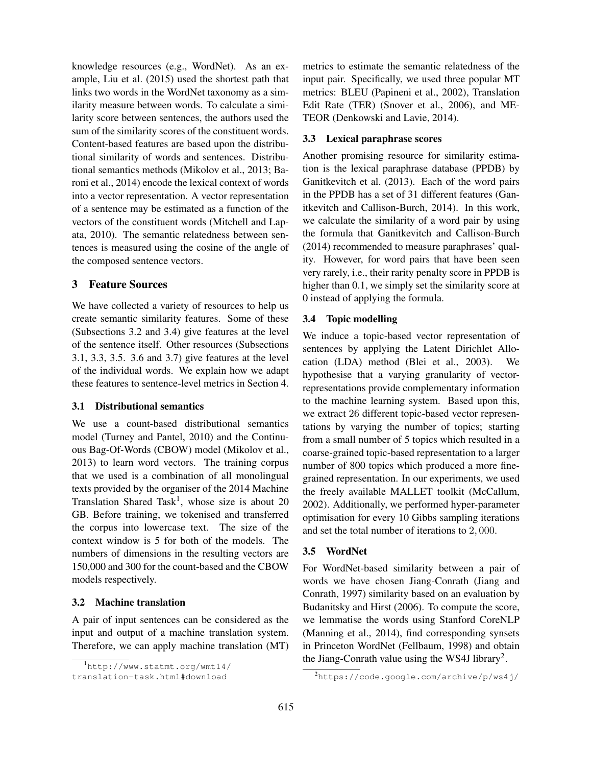knowledge resources (e.g., WordNet). As an example, Liu et al. (2015) used the shortest path that links two words in the WordNet taxonomy as a similarity measure between words. To calculate a similarity score between sentences, the authors used the sum of the similarity scores of the constituent words. Content-based features are based upon the distributional similarity of words and sentences. Distributional semantics methods (Mikolov et al., 2013; Baroni et al., 2014) encode the lexical context of words into a vector representation. A vector representation of a sentence may be estimated as a function of the vectors of the constituent words (Mitchell and Lapata, 2010). The semantic relatedness between sentences is measured using the cosine of the angle of the composed sentence vectors.

# 3 Feature Sources

We have collected a variety of resources to help us create semantic similarity features. Some of these (Subsections 3.2 and 3.4) give features at the level of the sentence itself. Other resources (Subsections 3.1, 3.3, 3.5. 3.6 and 3.7) give features at the level of the individual words. We explain how we adapt these features to sentence-level metrics in Section 4.

# 3.1 Distributional semantics

We use a count-based distributional semantics model (Turney and Pantel, 2010) and the Continuous Bag-Of-Words (CBOW) model (Mikolov et al., 2013) to learn word vectors. The training corpus that we used is a combination of all monolingual texts provided by the organiser of the 2014 Machine Translation Shared Task<sup>1</sup>, whose size is about 20 GB. Before training, we tokenised and transferred the corpus into lowercase text. The size of the context window is 5 for both of the models. The numbers of dimensions in the resulting vectors are 150,000 and 300 for the count-based and the CBOW models respectively.

#### 3.2 Machine translation

A pair of input sentences can be considered as the input and output of a machine translation system. Therefore, we can apply machine translation (MT) metrics to estimate the semantic relatedness of the input pair. Specifically, we used three popular MT metrics: BLEU (Papineni et al., 2002), Translation Edit Rate (TER) (Snover et al., 2006), and ME-TEOR (Denkowski and Lavie, 2014).

## 3.3 Lexical paraphrase scores

Another promising resource for similarity estimation is the lexical paraphrase database (PPDB) by Ganitkevitch et al. (2013). Each of the word pairs in the PPDB has a set of 31 different features (Ganitkevitch and Callison-Burch, 2014). In this work, we calculate the similarity of a word pair by using the formula that Ganitkevitch and Callison-Burch (2014) recommended to measure paraphrases' quality. However, for word pairs that have been seen very rarely, i.e., their rarity penalty score in PPDB is higher than 0.1, we simply set the similarity score at 0 instead of applying the formula.

# 3.4 Topic modelling

We induce a topic-based vector representation of sentences by applying the Latent Dirichlet Allocation (LDA) method (Blei et al., 2003). We hypothesise that a varying granularity of vectorrepresentations provide complementary information to the machine learning system. Based upon this, we extract 26 different topic-based vector representations by varying the number of topics; starting from a small number of 5 topics which resulted in a coarse-grained topic-based representation to a larger number of 800 topics which produced a more finegrained representation. In our experiments, we used the freely available MALLET toolkit (McCallum, 2002). Additionally, we performed hyper-parameter optimisation for every 10 Gibbs sampling iterations and set the total number of iterations to 2, 000.

#### 3.5 WordNet

For WordNet-based similarity between a pair of words we have chosen Jiang-Conrath (Jiang and Conrath, 1997) similarity based on an evaluation by Budanitsky and Hirst (2006). To compute the score, we lemmatise the words using Stanford CoreNLP (Manning et al., 2014), find corresponding synsets in Princeton WordNet (Fellbaum, 1998) and obtain the Jiang-Conrath value using the WS4J library<sup>2</sup>.

<sup>1</sup>http://www.statmt.org/wmt14/

translation-task.html#download

<sup>2</sup>https://code.google.com/archive/p/ws4j/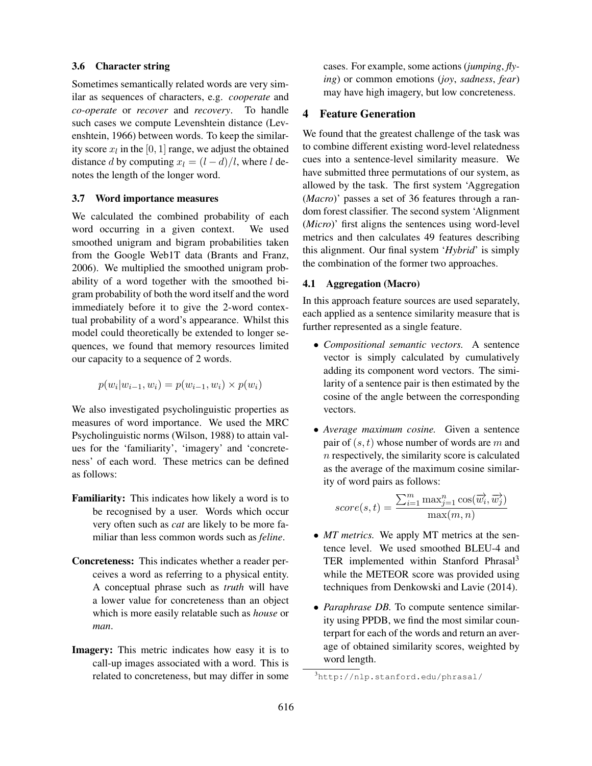#### 3.6 Character string

Sometimes semantically related words are very similar as sequences of characters, e.g. *cooperate* and *co-operate* or *recover* and *recovery*. To handle such cases we compute Levenshtein distance (Levenshtein, 1966) between words. To keep the similarity score  $x_l$  in the [0, 1] range, we adjust the obtained distance d by computing  $x_l = (l - d)/l$ , where l denotes the length of the longer word.

#### 3.7 Word importance measures

We calculated the combined probability of each word occurring in a given context. We used smoothed unigram and bigram probabilities taken from the Google Web1T data (Brants and Franz, 2006). We multiplied the smoothed unigram probability of a word together with the smoothed bigram probability of both the word itself and the word immediately before it to give the 2-word contextual probability of a word's appearance. Whilst this model could theoretically be extended to longer sequences, we found that memory resources limited our capacity to a sequence of 2 words.

$$
p(w_i|w_{i-1}, w_i) = p(w_{i-1}, w_i) \times p(w_i)
$$

We also investigated psycholinguistic properties as measures of word importance. We used the MRC Psycholinguistic norms (Wilson, 1988) to attain values for the 'familiarity', 'imagery' and 'concreteness' of each word. These metrics can be defined as follows:

- Familiarity: This indicates how likely a word is to be recognised by a user. Words which occur very often such as *cat* are likely to be more familiar than less common words such as *feline*.
- Concreteness: This indicates whether a reader perceives a word as referring to a physical entity. A conceptual phrase such as *truth* will have a lower value for concreteness than an object which is more easily relatable such as *house* or *man*.
- Imagery: This metric indicates how easy it is to call-up images associated with a word. This is related to concreteness, but may differ in some

cases. For example, some actions (*jumping*, *flying*) or common emotions (*joy*, *sadness*, *fear*) may have high imagery, but low concreteness.

## 4 Feature Generation

We found that the greatest challenge of the task was to combine different existing word-level relatedness cues into a sentence-level similarity measure. We have submitted three permutations of our system, as allowed by the task. The first system 'Aggregation (*Macro*)' passes a set of 36 features through a random forest classifier. The second system 'Alignment (*Micro*)' first aligns the sentences using word-level metrics and then calculates 49 features describing this alignment. Our final system '*Hybrid*' is simply the combination of the former two approaches.

## 4.1 Aggregation (Macro)

In this approach feature sources are used separately, each applied as a sentence similarity measure that is further represented as a single feature.

- *Compositional semantic vectors.* A sentence vector is simply calculated by cumulatively adding its component word vectors. The similarity of a sentence pair is then estimated by the cosine of the angle between the corresponding vectors.
- *Average maximum cosine.* Given a sentence pair of  $(s, t)$  whose number of words are m and  $n$  respectively, the similarity score is calculated as the average of the maximum cosine similarity of word pairs as follows:

$$
score(s,t) = \frac{\sum_{i=1}^{m} \max_{j=1}^{n} \cos(\overrightarrow{w_i}, \overrightarrow{w_j})}{\max(m,n)}
$$

- *MT metrics*. We apply MT metrics at the sentence level. We used smoothed BLEU-4 and TER implemented within Stanford Phrasal<sup>3</sup> while the METEOR score was provided using techniques from Denkowski and Lavie (2014).
- *Paraphrase DB.* To compute sentence similarity using PPDB, we find the most similar counterpart for each of the words and return an average of obtained similarity scores, weighted by word length.

<sup>3</sup>http://nlp.stanford.edu/phrasal/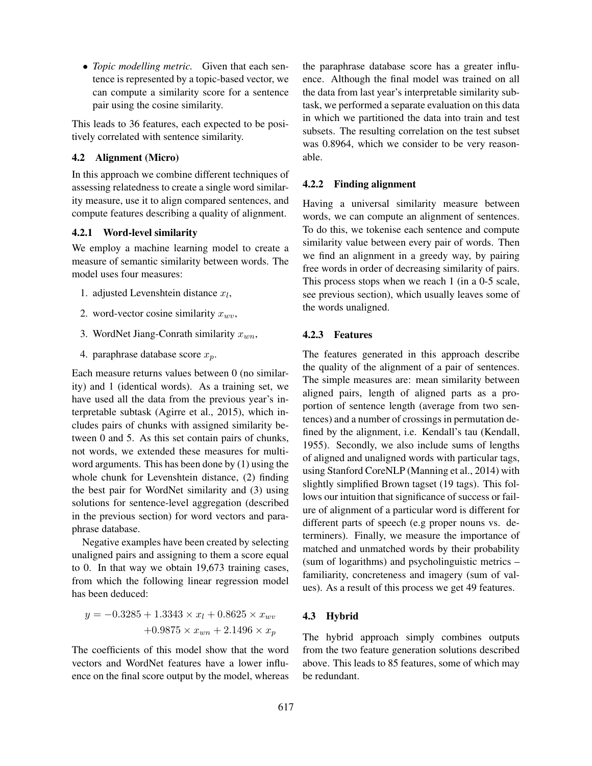• *Topic modelling metric.* Given that each sentence is represented by a topic-based vector, we can compute a similarity score for a sentence pair using the cosine similarity.

This leads to 36 features, each expected to be positively correlated with sentence similarity.

## 4.2 Alignment (Micro)

In this approach we combine different techniques of assessing relatedness to create a single word similarity measure, use it to align compared sentences, and compute features describing a quality of alignment.

## 4.2.1 Word-level similarity

We employ a machine learning model to create a measure of semantic similarity between words. The model uses four measures:

- 1. adjusted Levenshtein distance  $x_l$ ,
- 2. word-vector cosine similarity  $x_{wv}$ ,
- 3. WordNet Jiang-Conrath similarity  $x_{wn}$ ,
- 4. paraphrase database score  $x_p$ .

Each measure returns values between 0 (no similarity) and 1 (identical words). As a training set, we have used all the data from the previous year's interpretable subtask (Agirre et al., 2015), which includes pairs of chunks with assigned similarity between 0 and 5. As this set contain pairs of chunks, not words, we extended these measures for multiword arguments. This has been done by (1) using the whole chunk for Levenshtein distance, (2) finding the best pair for WordNet similarity and (3) using solutions for sentence-level aggregation (described in the previous section) for word vectors and paraphrase database.

Negative examples have been created by selecting unaligned pairs and assigning to them a score equal to 0. In that way we obtain 19,673 training cases, from which the following linear regression model has been deduced:

$$
y = -0.3285 + 1.3343 \times x_l + 0.8625 \times x_{wv} + 0.9875 \times x_{wn} + 2.1496 \times x_p
$$

The coefficients of this model show that the word vectors and WordNet features have a lower influence on the final score output by the model, whereas the paraphrase database score has a greater influence. Although the final model was trained on all the data from last year's interpretable similarity subtask, we performed a separate evaluation on this data in which we partitioned the data into train and test subsets. The resulting correlation on the test subset was 0.8964, which we consider to be very reasonable.

#### 4.2.2 Finding alignment

Having a universal similarity measure between words, we can compute an alignment of sentences. To do this, we tokenise each sentence and compute similarity value between every pair of words. Then we find an alignment in a greedy way, by pairing free words in order of decreasing similarity of pairs. This process stops when we reach 1 (in a 0-5 scale, see previous section), which usually leaves some of the words unaligned.

## 4.2.3 Features

The features generated in this approach describe the quality of the alignment of a pair of sentences. The simple measures are: mean similarity between aligned pairs, length of aligned parts as a proportion of sentence length (average from two sentences) and a number of crossings in permutation defined by the alignment, i.e. Kendall's tau (Kendall, 1955). Secondly, we also include sums of lengths of aligned and unaligned words with particular tags, using Stanford CoreNLP (Manning et al., 2014) with slightly simplified Brown tagset (19 tags). This follows our intuition that significance of success or failure of alignment of a particular word is different for different parts of speech (e.g proper nouns vs. determiners). Finally, we measure the importance of matched and unmatched words by their probability (sum of logarithms) and psycholinguistic metrics – familiarity, concreteness and imagery (sum of values). As a result of this process we get 49 features.

#### 4.3 Hybrid

The hybrid approach simply combines outputs from the two feature generation solutions described above. This leads to 85 features, some of which may be redundant.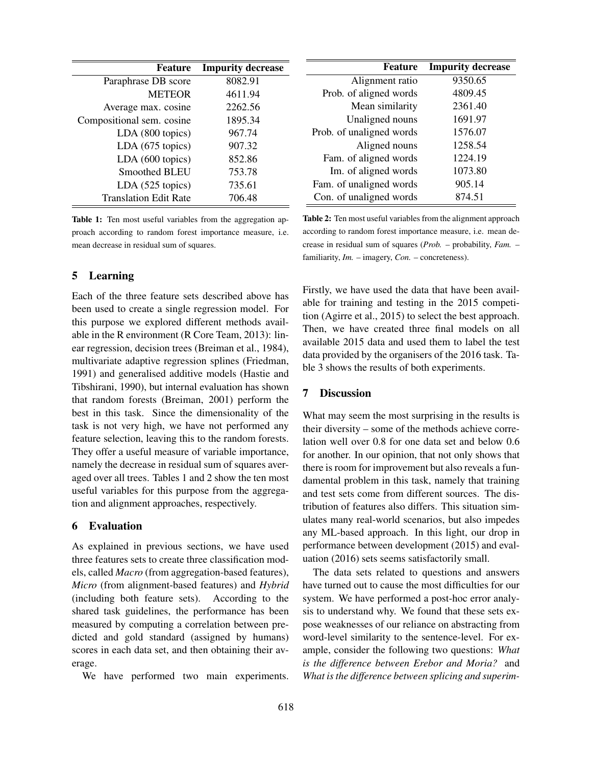| <b>Feature</b>               | <b>Impurity decrease</b> |  |
|------------------------------|--------------------------|--|
| Paraphrase DB score          | 8082.91                  |  |
| <b>METEOR</b>                | 4611.94                  |  |
| Average max. cosine          | 2262.56                  |  |
| Compositional sem. cosine    | 1895.34                  |  |
| LDA (800 topics)             | 967.74                   |  |
| LDA (675 topics)             | 907.32                   |  |
| LDA (600 topics)             | 852.86                   |  |
| Smoothed BLEU                | 753.78                   |  |
| LDA (525 topics)             | 735.61                   |  |
| <b>Translation Edit Rate</b> | 706.48                   |  |

Table 1: Ten most useful variables from the aggregation approach according to random forest importance measure, i.e. mean decrease in residual sum of squares.

## 5 Learning

Each of the three feature sets described above has been used to create a single regression model. For this purpose we explored different methods available in the R environment (R Core Team, 2013): linear regression, decision trees (Breiman et al., 1984), multivariate adaptive regression splines (Friedman, 1991) and generalised additive models (Hastie and Tibshirani, 1990), but internal evaluation has shown that random forests (Breiman, 2001) perform the best in this task. Since the dimensionality of the task is not very high, we have not performed any feature selection, leaving this to the random forests. They offer a useful measure of variable importance, namely the decrease in residual sum of squares averaged over all trees. Tables 1 and 2 show the ten most useful variables for this purpose from the aggregation and alignment approaches, respectively.

## 6 Evaluation

As explained in previous sections, we have used three features sets to create three classification models, called *Macro* (from aggregation-based features), *Micro* (from alignment-based features) and *Hybrid* (including both feature sets). According to the shared task guidelines, the performance has been measured by computing a correlation between predicted and gold standard (assigned by humans) scores in each data set, and then obtaining their average.

We have performed two main experiments.

| <b>Feature</b>           | <b>Impurity decrease</b> |  |
|--------------------------|--------------------------|--|
| Alignment ratio          | 9350.65                  |  |
| Prob. of aligned words   | 4809.45                  |  |
| Mean similarity          | 2361.40                  |  |
| Unaligned nouns          | 1691.97                  |  |
| Prob. of unaligned words | 1576.07                  |  |
| Aligned nouns            | 1258.54                  |  |
| Fam. of aligned words    | 1224.19                  |  |
| Im. of aligned words     | 1073.80                  |  |
| Fam. of unaligned words  | 905.14                   |  |
| Con. of unaligned words  | 874.51                   |  |

Table 2: Ten most useful variables from the alignment approach according to random forest importance measure, i.e. mean decrease in residual sum of squares (*Prob.* – probability, *Fam.* – familiarity, *Im.* – imagery, *Con.* – concreteness).

Firstly, we have used the data that have been available for training and testing in the 2015 competition (Agirre et al., 2015) to select the best approach. Then, we have created three final models on all available 2015 data and used them to label the test data provided by the organisers of the 2016 task. Table 3 shows the results of both experiments.

# 7 Discussion

What may seem the most surprising in the results is their diversity – some of the methods achieve correlation well over 0.8 for one data set and below 0.6 for another. In our opinion, that not only shows that there is room for improvement but also reveals a fundamental problem in this task, namely that training and test sets come from different sources. The distribution of features also differs. This situation simulates many real-world scenarios, but also impedes any ML-based approach. In this light, our drop in performance between development (2015) and evaluation (2016) sets seems satisfactorily small.

The data sets related to questions and answers have turned out to cause the most difficulties for our system. We have performed a post-hoc error analysis to understand why. We found that these sets expose weaknesses of our reliance on abstracting from word-level similarity to the sentence-level. For example, consider the following two questions: *What is the difference between Erebor and Moria?* and *What is the difference between splicing and superim-*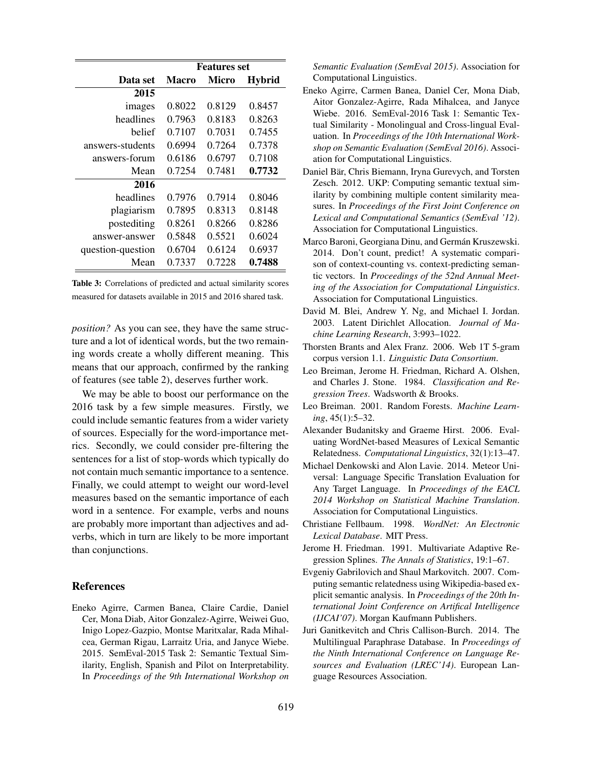|                   | <b>Features set</b> |        |               |
|-------------------|---------------------|--------|---------------|
| Data set          | <b>Macro</b>        | Micro  | <b>Hybrid</b> |
| 2015              |                     |        |               |
| images            | 0.8022              | 0.8129 | 0.8457        |
| headlines         | 0.7963              | 0.8183 | 0.8263        |
| helief            | 0.7107              | 0.7031 | 0.7455        |
| answers-students  | 0.6994              | 0.7264 | 0.7378        |
| answers-forum     | 0.6186              | 0.6797 | 0.7108        |
| Mean              | 0.7254              | 0.7481 | 0.7732        |
| 2016              |                     |        |               |
| headlines         | 0.7976              | 0.7914 | 0.8046        |
| plagiarism        | 0.7895              | 0.8313 | 0.8148        |
| postediting       | 0.8261              | 0.8266 | 0.8286        |
| answer-answer     | 0.5848              | 0.5521 | 0.6024        |
| question-question | 0.6704              | 0.6124 | 0.6937        |
| Mean              | 0.7337              | 0.7228 | 0.7488        |

Table 3: Correlations of predicted and actual similarity scores measured for datasets available in 2015 and 2016 shared task.

*position?* As you can see, they have the same structure and a lot of identical words, but the two remaining words create a wholly different meaning. This means that our approach, confirmed by the ranking of features (see table 2), deserves further work.

We may be able to boost our performance on the 2016 task by a few simple measures. Firstly, we could include semantic features from a wider variety of sources. Especially for the word-importance metrics. Secondly, we could consider pre-filtering the sentences for a list of stop-words which typically do not contain much semantic importance to a sentence. Finally, we could attempt to weight our word-level measures based on the semantic importance of each word in a sentence. For example, verbs and nouns are probably more important than adjectives and adverbs, which in turn are likely to be more important than conjunctions.

#### References

Eneko Agirre, Carmen Banea, Claire Cardie, Daniel Cer, Mona Diab, Aitor Gonzalez-Agirre, Weiwei Guo, Inigo Lopez-Gazpio, Montse Maritxalar, Rada Mihalcea, German Rigau, Larraitz Uria, and Janyce Wiebe. 2015. SemEval-2015 Task 2: Semantic Textual Similarity, English, Spanish and Pilot on Interpretability. In *Proceedings of the 9th International Workshop on* *Semantic Evaluation (SemEval 2015)*. Association for Computational Linguistics.

- Eneko Agirre, Carmen Banea, Daniel Cer, Mona Diab, Aitor Gonzalez-Agirre, Rada Mihalcea, and Janyce Wiebe. 2016. SemEval-2016 Task 1: Semantic Textual Similarity - Monolingual and Cross-lingual Evaluation. In *Proceedings of the 10th International Workshop on Semantic Evaluation (SemEval 2016)*. Association for Computational Linguistics.
- Daniel Bär, Chris Biemann, Iryna Gurevych, and Torsten Zesch. 2012. UKP: Computing semantic textual similarity by combining multiple content similarity measures. In *Proceedings of the First Joint Conference on Lexical and Computational Semantics (SemEval '12)*. Association for Computational Linguistics.
- Marco Baroni, Georgiana Dinu, and Germán Kruszewski. 2014. Don't count, predict! A systematic comparison of context-counting vs. context-predicting semantic vectors. In *Proceedings of the 52nd Annual Meeting of the Association for Computational Linguistics*. Association for Computational Linguistics.
- David M. Blei, Andrew Y. Ng, and Michael I. Jordan. 2003. Latent Dirichlet Allocation. *Journal of Machine Learning Research*, 3:993–1022.
- Thorsten Brants and Alex Franz. 2006. Web 1T 5-gram corpus version 1.1. *Linguistic Data Consortium*.
- Leo Breiman, Jerome H. Friedman, Richard A. Olshen, and Charles J. Stone. 1984. *Classification and Regression Trees*. Wadsworth & Brooks.
- Leo Breiman. 2001. Random Forests. *Machine Learning*, 45(1):5–32.
- Alexander Budanitsky and Graeme Hirst. 2006. Evaluating WordNet-based Measures of Lexical Semantic Relatedness. *Computational Linguistics*, 32(1):13–47.
- Michael Denkowski and Alon Lavie. 2014. Meteor Universal: Language Specific Translation Evaluation for Any Target Language. In *Proceedings of the EACL 2014 Workshop on Statistical Machine Translation*. Association for Computational Linguistics.
- Christiane Fellbaum. 1998. *WordNet: An Electronic Lexical Database*. MIT Press.
- Jerome H. Friedman. 1991. Multivariate Adaptive Regression Splines. *The Annals of Statistics*, 19:1–67.
- Evgeniy Gabrilovich and Shaul Markovitch. 2007. Computing semantic relatedness using Wikipedia-based explicit semantic analysis. In *Proceedings of the 20th International Joint Conference on Artifical Intelligence (IJCAI'07)*. Morgan Kaufmann Publishers.
- Juri Ganitkevitch and Chris Callison-Burch. 2014. The Multilingual Paraphrase Database. In *Proceedings of the Ninth International Conference on Language Resources and Evaluation (LREC'14)*. European Language Resources Association.